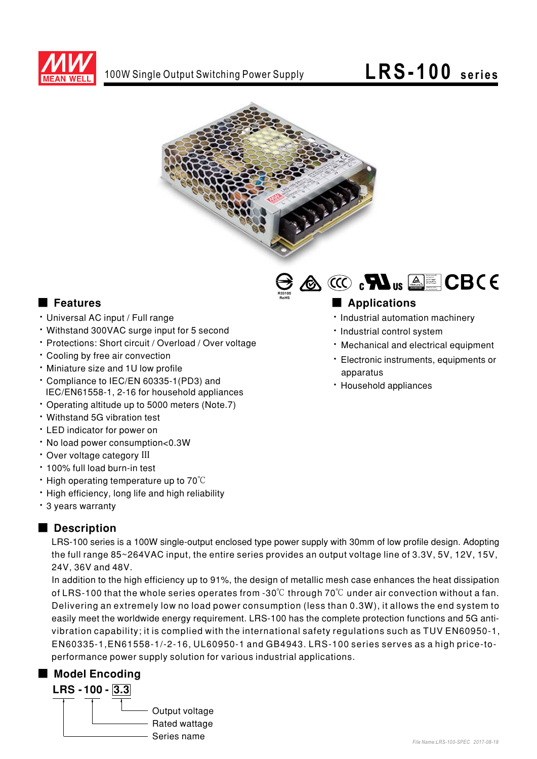

### LRS-100 series



#### **E** Features

- Universal AC input / Full range
- Withstand 300VAC surge input for 5 second
- \* Protections: Short circuit / Overload / Over voltage
- Cooling by free air convection
- · Miniature size and 1U low profile
- \* Compliance to IEC/EN 60335-1(PD3) and IEC/EN61558-1, 2-16 for household appliances
- Operating altitude up to 5000 meters (Note.7)
- · Withstand 5G vibration test
- LED indicator for power on
- · No load power consumption<0.3W
- · Over voltage category III
- . 100% full load burn-in test
- $\cdot$  High operating temperature up to 70 $\degree$ C
- . High efficiency, long life and high reliability
- 3 years warranty

### Description

LRS-100 series is a 100W single-output enclosed type power supply with 30mm of low profile design. Adopting the full range 85~264VAC input, the entire series provides an output voltage line of 3.3V, 5V, 12V, 15V, 24V, 36V and 48V.

In addition to the high efficiency up to 91%, the design of metallic mesh case enhances the heat dissipation of LRS-100 that the whole series operates from -30 $\degree$ C through 70 $\degree$ C under air convection without a fan. Delivering an extremely low no load power consumption (less than 0.3W), it allows the end system to easily meet the worldwide energy requirement. LRS-100 has the complete protection functions and 5G antivibration capability; it is complied with the international safety regulations such as TUV EN60950-1, EN60335-1, EN61558-1/-2-16, UL60950-1 and GB4943. LRS-100 series serves as a high price-toperformance power supply solution for various industrial applications.

### Model Encoding





### Applications

- · Industrial automation machinery
- · Industrial control system
- · Mechanical and electrical equipment
- · Electronic instruments, equipments or apparatus
- · Household appliances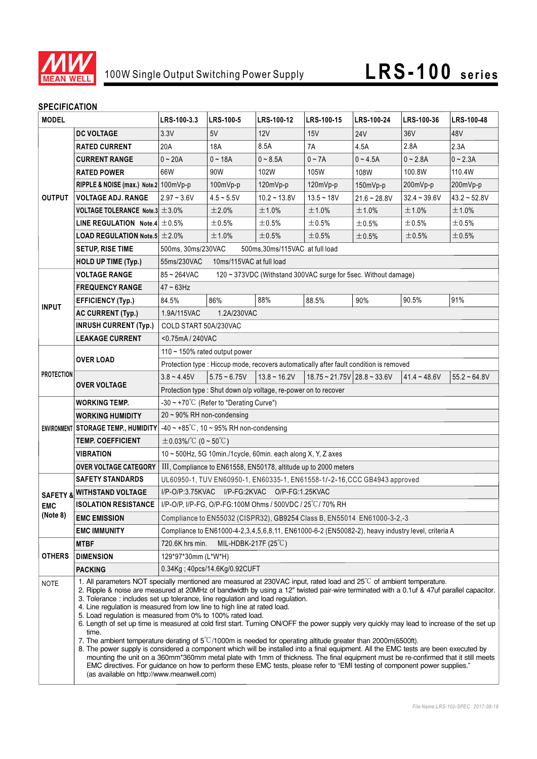

## 100W Single Output Switching Power Supply **LRS-100 series**

### **SPECIFICATION**

| <b>MODEL</b>           |                                                                                                                                                                                                                                                                                                                                                                                                                                                                                                                                                                                                                                                                                                                                                                                                                                                                                                                                                                                                                                                                                                                                                                                                                                       | LRS-100-3.3                                                                                       | LRS-100-5                     | LRS-100-12                      | LRS-100-15                    | LRS-100-24     | LRS-100-36     | LRS-100-48     |  |
|------------------------|---------------------------------------------------------------------------------------------------------------------------------------------------------------------------------------------------------------------------------------------------------------------------------------------------------------------------------------------------------------------------------------------------------------------------------------------------------------------------------------------------------------------------------------------------------------------------------------------------------------------------------------------------------------------------------------------------------------------------------------------------------------------------------------------------------------------------------------------------------------------------------------------------------------------------------------------------------------------------------------------------------------------------------------------------------------------------------------------------------------------------------------------------------------------------------------------------------------------------------------|---------------------------------------------------------------------------------------------------|-------------------------------|---------------------------------|-------------------------------|----------------|----------------|----------------|--|
|                        | <b>DC VOLTAGE</b>                                                                                                                                                                                                                                                                                                                                                                                                                                                                                                                                                                                                                                                                                                                                                                                                                                                                                                                                                                                                                                                                                                                                                                                                                     | 3.3V                                                                                              | 5V                            | 12V                             | 15V                           | <b>24V</b>     | 36V            | 48V            |  |
| <b>OUTPUT</b>          | <b>RATED CURRENT</b>                                                                                                                                                                                                                                                                                                                                                                                                                                                                                                                                                                                                                                                                                                                                                                                                                                                                                                                                                                                                                                                                                                                                                                                                                  | 20A                                                                                               | 18A                           | 8.5A                            | 7A                            | 4.5A           | 2.8A           | 2.3A           |  |
|                        | <b>CURRENT RANGE</b>                                                                                                                                                                                                                                                                                                                                                                                                                                                                                                                                                                                                                                                                                                                                                                                                                                                                                                                                                                                                                                                                                                                                                                                                                  | $0 - 20A$                                                                                         | $0 - 18A$                     | $0 - 8.5A$                      | $0 \sim 7A$                   | $0 - 4.5A$     | $0 - 2.8A$     | $0 - 2.3A$     |  |
|                        | <b>RATED POWER</b>                                                                                                                                                                                                                                                                                                                                                                                                                                                                                                                                                                                                                                                                                                                                                                                                                                                                                                                                                                                                                                                                                                                                                                                                                    | 66W                                                                                               | 90W                           | 102W                            | 105W                          | 108W           | 100.8W         | 110.4W         |  |
|                        | RIPPLE & NOISE (max.) Note.2 100mVp-p                                                                                                                                                                                                                                                                                                                                                                                                                                                                                                                                                                                                                                                                                                                                                                                                                                                                                                                                                                                                                                                                                                                                                                                                 |                                                                                                   | 100mVp-p                      | 120mVp-p                        | 120mVp-p                      | 150mVp-p       | 200mVp-p       | 200mVp-p       |  |
|                        | <b>VOLTAGE ADJ. RANGE</b>                                                                                                                                                                                                                                                                                                                                                                                                                                                                                                                                                                                                                                                                                                                                                                                                                                                                                                                                                                                                                                                                                                                                                                                                             | $2.97 - 3.6V$                                                                                     | $4.5 - 5.5V$                  | $10.2 - 13.8V$                  | $13.5 - 18V$                  | $21.6 - 28.8V$ | $32.4 - 39.6V$ | $43.2 - 52.8V$ |  |
|                        | VOLTAGE TOLERANCE Note.3 $\pm$ 3.0%                                                                                                                                                                                                                                                                                                                                                                                                                                                                                                                                                                                                                                                                                                                                                                                                                                                                                                                                                                                                                                                                                                                                                                                                   |                                                                                                   | ±2.0%                         | ±1.0%                           | ±1.0%                         | ±1.0%          | ±1.0%          | ±1.0%          |  |
|                        | LINE REGULATION Note.4 $\pm$ 0.5%                                                                                                                                                                                                                                                                                                                                                                                                                                                                                                                                                                                                                                                                                                                                                                                                                                                                                                                                                                                                                                                                                                                                                                                                     |                                                                                                   | ±0.5%                         | ±0.5%                           | ±0.5%                         | ±0.5%          | $\pm 0.5\%$    | $\pm 0.5\%$    |  |
|                        | <b>LOAD REGULATION Note.5 <math>\pm 2.0\%</math></b>                                                                                                                                                                                                                                                                                                                                                                                                                                                                                                                                                                                                                                                                                                                                                                                                                                                                                                                                                                                                                                                                                                                                                                                  |                                                                                                   | ±1.0%                         | ±0.5%                           | ±0.5%                         | $\pm 0.5\%$    | ±0.5%          | $\pm 0.5\%$    |  |
|                        | <b>SETUP, RISE TIME</b>                                                                                                                                                                                                                                                                                                                                                                                                                                                                                                                                                                                                                                                                                                                                                                                                                                                                                                                                                                                                                                                                                                                                                                                                               | 500ms, 30ms/230VAC                                                                                |                               | 500ms, 30ms/115VAC at full load |                               |                |                |                |  |
|                        | <b>HOLD UP TIME (Typ.)</b>                                                                                                                                                                                                                                                                                                                                                                                                                                                                                                                                                                                                                                                                                                                                                                                                                                                                                                                                                                                                                                                                                                                                                                                                            | 55ms/230VAC<br>10ms/115VAC at full load                                                           |                               |                                 |                               |                |                |                |  |
| <b>INPUT</b>           | <b>VOLTAGE RANGE</b>                                                                                                                                                                                                                                                                                                                                                                                                                                                                                                                                                                                                                                                                                                                                                                                                                                                                                                                                                                                                                                                                                                                                                                                                                  | 85~264VAC<br>120 ~ 373VDC (Withstand 300VAC surge for 5sec. Without damage)                       |                               |                                 |                               |                |                |                |  |
|                        | <b>FREQUENCY RANGE</b>                                                                                                                                                                                                                                                                                                                                                                                                                                                                                                                                                                                                                                                                                                                                                                                                                                                                                                                                                                                                                                                                                                                                                                                                                | $47 - 63$ Hz                                                                                      |                               |                                 |                               |                |                |                |  |
|                        | <b>EFFICIENCY (Typ.)</b>                                                                                                                                                                                                                                                                                                                                                                                                                                                                                                                                                                                                                                                                                                                                                                                                                                                                                                                                                                                                                                                                                                                                                                                                              | 84.5%                                                                                             | 86%                           | 88%                             | 88.5%                         | 90%            | 90.5%          | 91%            |  |
|                        | <b>AC CURRENT (Typ.)</b>                                                                                                                                                                                                                                                                                                                                                                                                                                                                                                                                                                                                                                                                                                                                                                                                                                                                                                                                                                                                                                                                                                                                                                                                              | 1.9A/115VAC<br>1.2A/230VAC                                                                        |                               |                                 |                               |                |                |                |  |
|                        | <b>INRUSH CURRENT (Typ.)</b>                                                                                                                                                                                                                                                                                                                                                                                                                                                                                                                                                                                                                                                                                                                                                                                                                                                                                                                                                                                                                                                                                                                                                                                                          | COLD START 50A/230VAC                                                                             |                               |                                 |                               |                |                |                |  |
|                        | <b>LEAKAGE CURRENT</b>                                                                                                                                                                                                                                                                                                                                                                                                                                                                                                                                                                                                                                                                                                                                                                                                                                                                                                                                                                                                                                                                                                                                                                                                                | <0.75mA/240VAC                                                                                    |                               |                                 |                               |                |                |                |  |
| <b>PROTECTION</b>      | <b>OVER LOAD</b>                                                                                                                                                                                                                                                                                                                                                                                                                                                                                                                                                                                                                                                                                                                                                                                                                                                                                                                                                                                                                                                                                                                                                                                                                      | 110 ~ 150% rated output power                                                                     |                               |                                 |                               |                |                |                |  |
|                        |                                                                                                                                                                                                                                                                                                                                                                                                                                                                                                                                                                                                                                                                                                                                                                                                                                                                                                                                                                                                                                                                                                                                                                                                                                       | Protection type : Hiccup mode, recovers automatically after fault condition is removed            |                               |                                 |                               |                |                |                |  |
|                        |                                                                                                                                                                                                                                                                                                                                                                                                                                                                                                                                                                                                                                                                                                                                                                                                                                                                                                                                                                                                                                                                                                                                                                                                                                       | $3.8 - 4.45V$                                                                                     | $5.75 - 6.75V$                | $13.8 - 16.2V$                  | $18.75 - 21.75V$ 28.8 ~ 33.6V |                | $41.4 - 48.6V$ | $55.2 - 64.8V$ |  |
|                        | <b>OVER VOLTAGE</b>                                                                                                                                                                                                                                                                                                                                                                                                                                                                                                                                                                                                                                                                                                                                                                                                                                                                                                                                                                                                                                                                                                                                                                                                                   | Protection type : Shut down o/p voltage, re-power on to recover                                   |                               |                                 |                               |                |                |                |  |
|                        | <b>WORKING TEMP.</b>                                                                                                                                                                                                                                                                                                                                                                                                                                                                                                                                                                                                                                                                                                                                                                                                                                                                                                                                                                                                                                                                                                                                                                                                                  | $-30 \sim +70^{\circ}$ C (Refer to "Derating Curve")                                              |                               |                                 |                               |                |                |                |  |
|                        | <b>WORKING HUMIDITY</b>                                                                                                                                                                                                                                                                                                                                                                                                                                                                                                                                                                                                                                                                                                                                                                                                                                                                                                                                                                                                                                                                                                                                                                                                               | $20 \sim 90\%$ RH non-condensing                                                                  |                               |                                 |                               |                |                |                |  |
|                        | ENVIRONMENT STORAGE TEMP., HUMIDITY                                                                                                                                                                                                                                                                                                                                                                                                                                                                                                                                                                                                                                                                                                                                                                                                                                                                                                                                                                                                                                                                                                                                                                                                   | $-40 \sim +85^{\circ}$ C, 10 ~ 95% RH non-condensing                                              |                               |                                 |                               |                |                |                |  |
|                        | <b>TEMP. COEFFICIENT</b>                                                                                                                                                                                                                                                                                                                                                                                                                                                                                                                                                                                                                                                                                                                                                                                                                                                                                                                                                                                                                                                                                                                                                                                                              | $\pm$ 0.03%/°C (0 ~ 50°C)                                                                         |                               |                                 |                               |                |                |                |  |
|                        | <b>VIBRATION</b>                                                                                                                                                                                                                                                                                                                                                                                                                                                                                                                                                                                                                                                                                                                                                                                                                                                                                                                                                                                                                                                                                                                                                                                                                      | 10 ~ 500Hz, 5G 10min./1cycle, 60min. each along X, Y, Z axes                                      |                               |                                 |                               |                |                |                |  |
|                        | <b>OVER VOLTAGE CATEGORY</b>                                                                                                                                                                                                                                                                                                                                                                                                                                                                                                                                                                                                                                                                                                                                                                                                                                                                                                                                                                                                                                                                                                                                                                                                          | III, Compliance to EN61558, EN50178, altitude up to 2000 meters                                   |                               |                                 |                               |                |                |                |  |
| <b>EMC</b><br>(Note 8) | <b>SAFETY STANDARDS</b>                                                                                                                                                                                                                                                                                                                                                                                                                                                                                                                                                                                                                                                                                                                                                                                                                                                                                                                                                                                                                                                                                                                                                                                                               | UL60950-1, TUV EN60950-1, EN60335-1, EN61558-1/-2-16, CCC GB4943 approved                         |                               |                                 |                               |                |                |                |  |
|                        | <b>SAFETY &amp; WITHSTAND VOLTAGE</b>                                                                                                                                                                                                                                                                                                                                                                                                                                                                                                                                                                                                                                                                                                                                                                                                                                                                                                                                                                                                                                                                                                                                                                                                 | I/P-FG:2KVAC O/P-FG:1.25KVAC<br>$I/P$ -O/P:3.75KVAC                                               |                               |                                 |                               |                |                |                |  |
|                        | <b>ISOLATION RESISTANCE</b>                                                                                                                                                                                                                                                                                                                                                                                                                                                                                                                                                                                                                                                                                                                                                                                                                                                                                                                                                                                                                                                                                                                                                                                                           | I/P-O/P, I/P-FG, O/P-FG:100M Ohms / 500VDC / 25°C/ 70% RH                                         |                               |                                 |                               |                |                |                |  |
|                        | <b>EMC EMISSION</b>                                                                                                                                                                                                                                                                                                                                                                                                                                                                                                                                                                                                                                                                                                                                                                                                                                                                                                                                                                                                                                                                                                                                                                                                                   | Compliance to EN55032 (CISPR32), GB9254 Class B, EN55014 EN61000-3-2,-3                           |                               |                                 |                               |                |                |                |  |
|                        | <b>EMC IMMUNITY</b>                                                                                                                                                                                                                                                                                                                                                                                                                                                                                                                                                                                                                                                                                                                                                                                                                                                                                                                                                                                                                                                                                                                                                                                                                   | Compliance to EN61000-4-2,3,4,5,6,8,11, EN61000-6-2 (EN50082-2), heavy industry level, criteria A |                               |                                 |                               |                |                |                |  |
| <b>OTHERS</b>          | <b>MTBF</b>                                                                                                                                                                                                                                                                                                                                                                                                                                                                                                                                                                                                                                                                                                                                                                                                                                                                                                                                                                                                                                                                                                                                                                                                                           | 720.6K hrs min.<br>MIL-HDBK-217F $(25^{\circ}C)$                                                  |                               |                                 |                               |                |                |                |  |
|                        | <b>DIMENSION</b>                                                                                                                                                                                                                                                                                                                                                                                                                                                                                                                                                                                                                                                                                                                                                                                                                                                                                                                                                                                                                                                                                                                                                                                                                      | 129*97*30mm (L*W*H)                                                                               |                               |                                 |                               |                |                |                |  |
|                        | <b>PACKING</b>                                                                                                                                                                                                                                                                                                                                                                                                                                                                                                                                                                                                                                                                                                                                                                                                                                                                                                                                                                                                                                                                                                                                                                                                                        |                                                                                                   | 0.34Kg; 40pcs/14.6Kg/0.92CUFT |                                 |                               |                |                |                |  |
| NOTE                   | 1. All parameters NOT specially mentioned are measured at 230VAC input, rated load and 25°C of ambient temperature.<br>2. Ripple & noise are measured at 20MHz of bandwidth by using a 12" twisted pair-wire terminated with a 0.1uf & 47uf parallel capacitor.<br>3. Tolerance : includes set up tolerance, line regulation and load regulation.<br>4. Line regulation is measured from low line to high line at rated load.<br>5. Load regulation is measured from 0% to 100% rated load.<br>6. Length of set up time is measured at cold first start. Turning ON/OFF the power supply very quickly may lead to increase of the set up<br>time.<br>7. The ambient temperature derating of $5^{\circ}$ C/1000m is needed for operating altitude greater than 2000m(6500ft).<br>8. The power supply is considered a component which will be installed into a final equipment. All the EMC tests are been executed by<br>mounting the unit on a 360mm*360mm metal plate with 1mm of thickness. The final equipment must be re-confirmed that it still meets<br>EMC directives. For guidance on how to perform these EMC tests, please refer to "EMI testing of component power supplies."<br>(as available on http://www.meanwell.com) |                                                                                                   |                               |                                 |                               |                |                |                |  |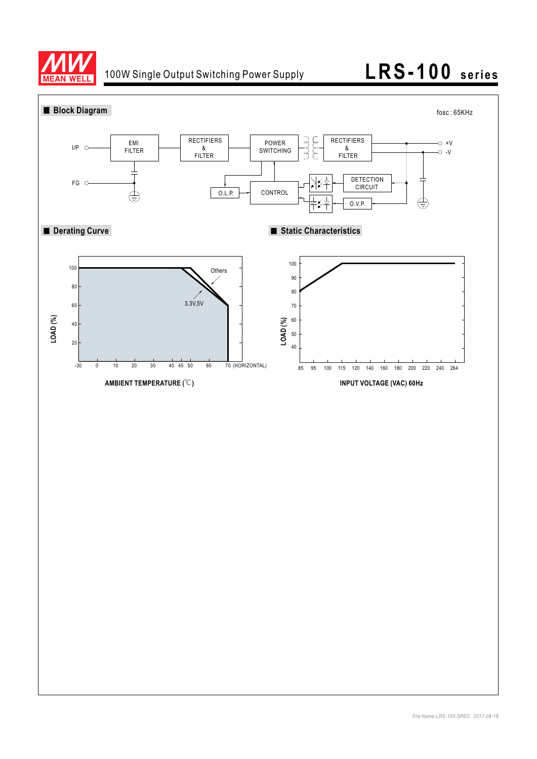

### 100W Single Output Switching Power Supply **LRS-100 series**